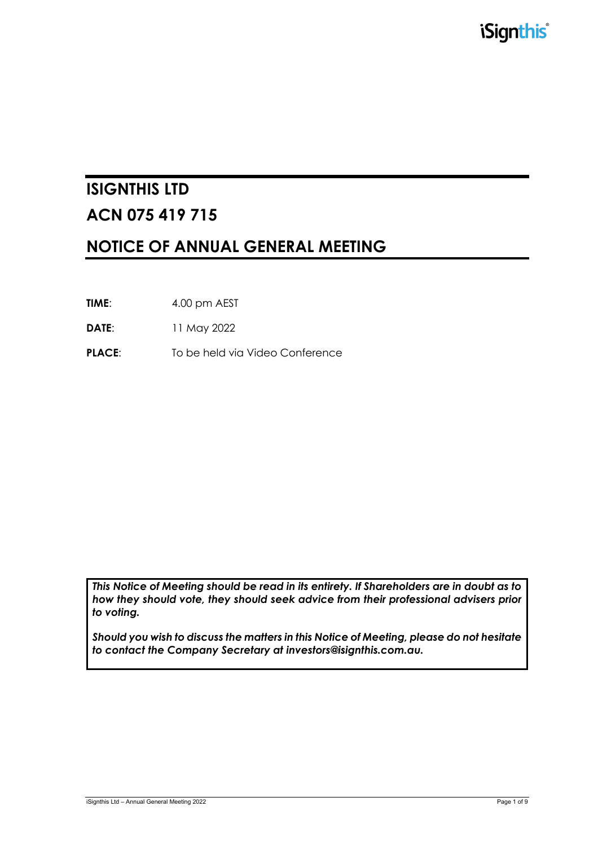# **ISIGNTHIS LTD ACN 075 419 715**

# **NOTICE OF ANNUAL GENERAL MEETING**

**TIME**: 4.00 pm AEST

**DATE**: 11 May 2022

**PLACE:** To be held via Video Conference

*This Notice of Meeting should be read in its entirety. If Shareholders are in doubt as to how they should vote, they should seek advice from their professional advisers prior to voting.*

*Should you wish to discuss the matters in this Notice of Meeting, please do not hesitate to contact the Company Secretary at investors@isignthis.com.au.*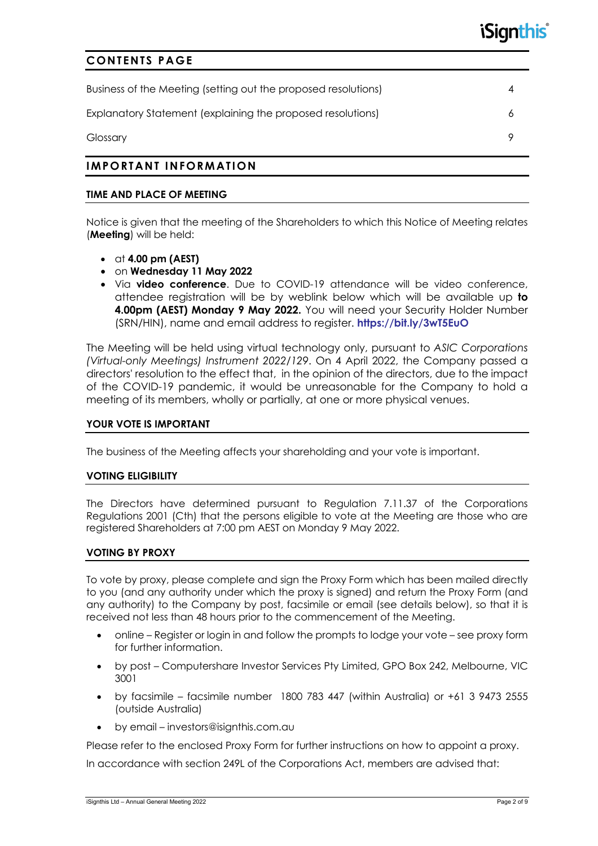### **CONTENTS PAGE**

| Business of the Meeting (setting out the proposed resolutions) |  |
|----------------------------------------------------------------|--|
| Explanatory Statement (explaining the proposed resolutions)    |  |
| Glossary                                                       |  |

### **IMPORTANT INFORMATION**

#### **TIME AND PLACE OF MEETING**

Notice is given that the meeting of the Shareholders to which this Notice of Meeting relates (**Meeting**) will be held:

- at **4.00 pm (AEST)**
- on **Wednesday 11 May 2022**
- Via **video conference**. Due to COVID-19 attendance will be video conference, attendee registration will be by weblink below which will be available up **to 4.00pm (AEST) Monday 9 May 2022.** You will need your Security Holder Number (SRN/HIN), name and email address to register. **https://bit.ly/3wT5EuO**

The Meeting will be held using virtual technology only, pursuant to *ASIC Corporations (Virtual-only Meetings) Instrument 2022/129*. On 4 April 2022, the Company passed a directors' resolution to the effect that, in the opinion of the directors, due to the impact of the COVID-19 pandemic, it would be unreasonable for the Company to hold a meeting of its members, wholly or partially, at one or more physical venues.

#### **YOUR VOTE IS IMPORTANT**

The business of the Meeting affects your shareholding and your vote is important.

#### **VOTING ELIGIBILITY**

The Directors have determined pursuant to Regulation 7.11.37 of the Corporations Regulations 2001 (Cth) that the persons eligible to vote at the Meeting are those who are registered Shareholders at 7:00 pm AEST on Monday 9 May 2022.

#### **VOTING BY PROXY**

To vote by proxy, please complete and sign the Proxy Form which has been mailed directly to you (and any authority under which the proxy is signed) and return the Proxy Form (and any authority) to the Company by post, facsimile or email (see details below), so that it is received not less than 48 hours prior to the commencement of the Meeting.

- online Register or login in and follow the prompts to lodge your vote see proxy form for further information.
- by post Computershare Investor Services Pty Limited, GPO Box 242, Melbourne, VIC 3001
- by facsimile facsimile number 1800 783 447 (within Australia) or +61 3 9473 2555 (outside Australia)
- by email investors@isignthis.com.au

Please refer to the enclosed Proxy Form for further instructions on how to appoint a proxy.

In accordance with section 249L of the Corporations Act, members are advised that: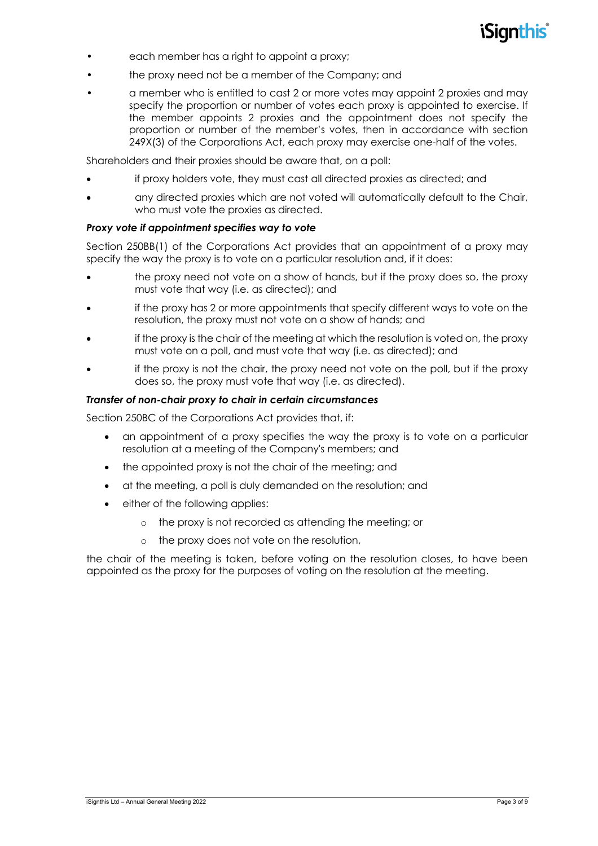

- each member has a right to appoint a proxy;
- the proxy need not be a member of the Company; and
- a member who is entitled to cast 2 or more votes may appoint 2 proxies and may specify the proportion or number of votes each proxy is appointed to exercise. If the member appoints 2 proxies and the appointment does not specify the proportion or number of the member's votes, then in accordance with section 249X(3) of the Corporations Act, each proxy may exercise one-half of the votes.

Shareholders and their proxies should be aware that, on a poll:

- if proxy holders vote, they must cast all directed proxies as directed; and
- any directed proxies which are not voted will automatically default to the Chair, who must vote the proxies as directed.

#### *Proxy vote if appointment specifies way to vote*

Section 250BB(1) of the Corporations Act provides that an appointment of a proxy may specify the way the proxy is to vote on a particular resolution and, if it does:

- the proxy need not vote on a show of hands, but if the proxy does so, the proxy must vote that way (i.e. as directed); and
- if the proxy has 2 or more appointments that specify different ways to vote on the resolution, the proxy must not vote on a show of hands; and
- if the proxy is the chair of the meeting at which the resolution is voted on, the proxy must vote on a poll, and must vote that way (i.e. as directed); and
- if the proxy is not the chair, the proxy need not vote on the poll, but if the proxy does so, the proxy must vote that way (i.e. as directed).

#### *Transfer of non-chair proxy to chair in certain circumstances*

Section 250BC of the Corporations Act provides that, if:

- an appointment of a proxy specifies the way the proxy is to vote on a particular resolution at a meeting of the Company's members; and
- the appointed proxy is not the chair of the meeting; and
- at the meeting, a poll is duly demanded on the resolution; and
- either of the following applies:
	- o the proxy is not recorded as attending the meeting; or
	- o the proxy does not vote on the resolution,

the chair of the meeting is taken, before voting on the resolution closes, to have been appointed as the proxy for the purposes of voting on the resolution at the meeting.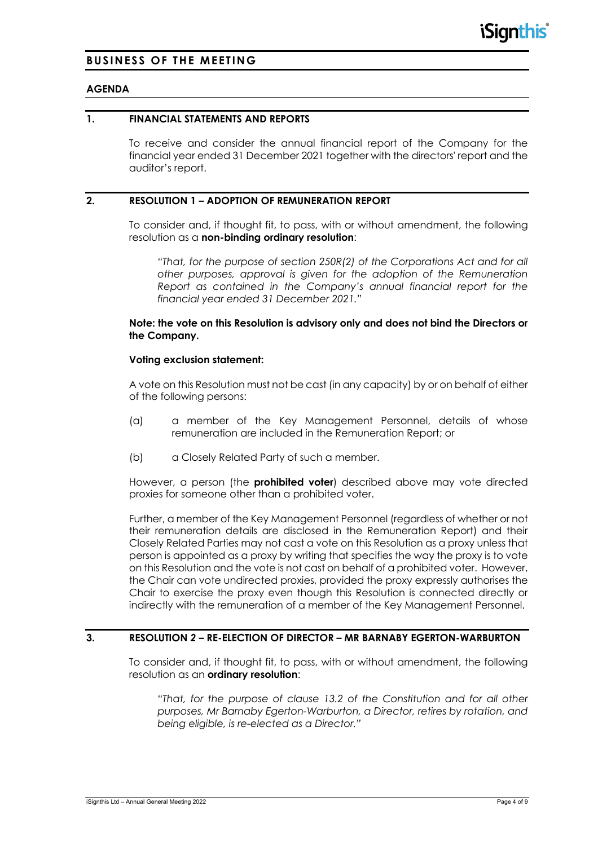### **BUSINESS OF THE MEETING**

#### **AGENDA**

#### **1. FINANCIAL STATEMENTS AND REPORTS**

To receive and consider the annual financial report of the Company for the financial year ended 31 December 2021 together with the directors' report and the auditor's report.

#### **2. RESOLUTION 1 – ADOPTION OF REMUNERATION REPORT**

To consider and, if thought fit, to pass, with or without amendment, the following resolution as a **non-binding ordinary resolution**:

*"That, for the purpose of section 250R(2) of the Corporations Act and for all other purposes, approval is given for the adoption of the Remuneration Report as contained in the Company's annual financial report for the financial year ended 31 December 2021."*

#### **Note: the vote on this Resolution is advisory only and does not bind the Directors or the Company.**

#### **Voting exclusion statement:**

A vote on this Resolution must not be cast (in any capacity) by or on behalf of either of the following persons:

- (a) a member of the Key Management Personnel, details of whose remuneration are included in the Remuneration Report; or
- (b) a Closely Related Party of such a member.

However, a person (the **prohibited voter**) described above may vote directed proxies for someone other than a prohibited voter.

Further, a member of the Key Management Personnel (regardless of whether or not their remuneration details are disclosed in the Remuneration Report) and their Closely Related Parties may not cast a vote on this Resolution as a proxy unless that person is appointed as a proxy by writing that specifies the way the proxy is to vote on this Resolution and the vote is not cast on behalf of a prohibited voter. However, the Chair can vote undirected proxies, provided the proxy expressly authorises the Chair to exercise the proxy even though this Resolution is connected directly or indirectly with the remuneration of a member of the Key Management Personnel.

#### **3. RESOLUTION** *2* **– RE-ELECTION OF DIRECTOR – MR BARNABY EGERTON-WARBURTON**

To consider and, if thought fit, to pass, with or without amendment, the following resolution as an **ordinary resolution**:

*"That, for the purpose of clause 13.2 of the Constitution and for all other purposes, Mr Barnaby Egerton-Warburton, a Director, retires by rotation, and being eligible, is re-elected as a Director."*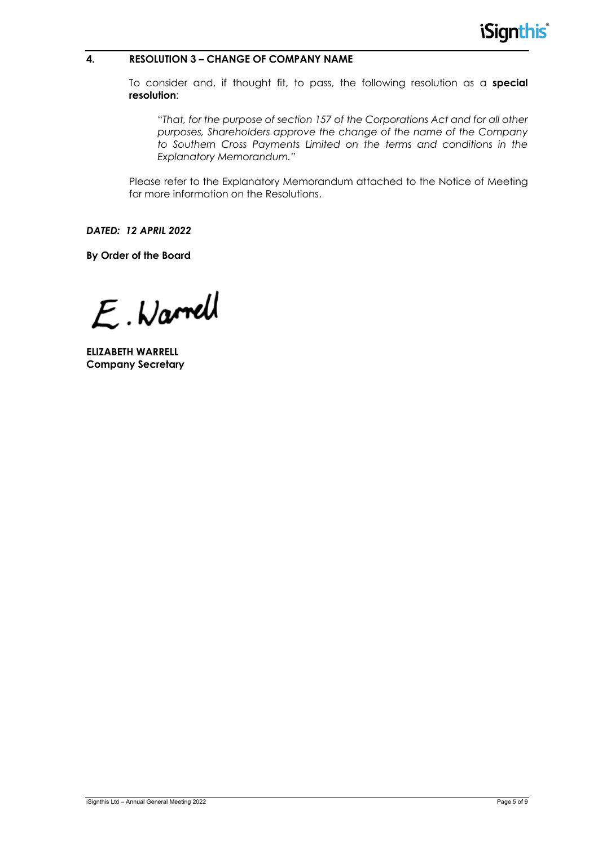#### **4. RESOLUTION 3 – CHANGE OF COMPANY NAME**

To consider and, if thought fit, to pass, the following resolution as a **special resolution**:

*"That, for the purpose of section 157 of the Corporations Act and for all other purposes, Shareholders approve the change of the name of the Company to Southern Cross Payments Limited on the terms and conditions in the Explanatory Memorandum."*

Please refer to the Explanatory Memorandum attached to the Notice of Meeting for more information on the Resolutions.

*DATED: 12 APRIL 2022*

**By Order of the Board**

E. Warrell

**ELIZABETH WARRELL Company Secretary**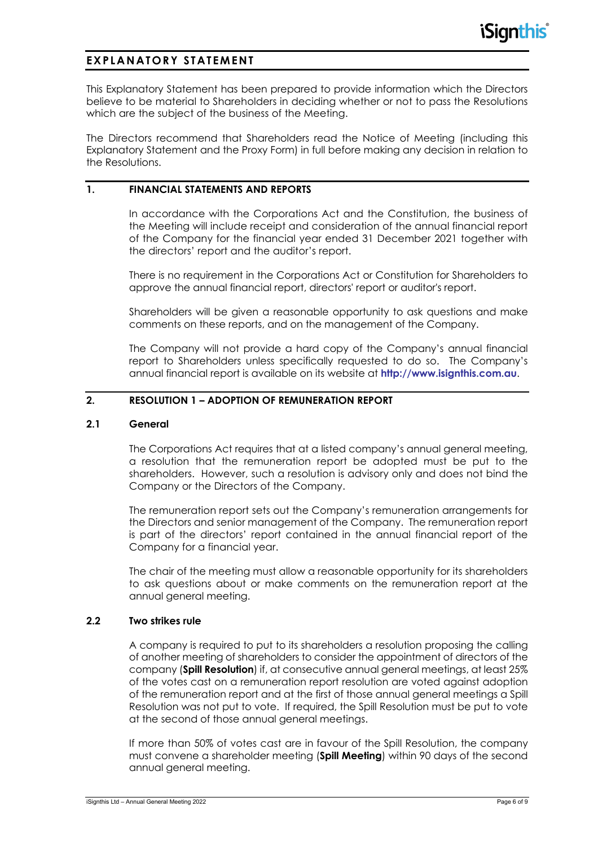# **EXPLANATORY STATEMENT**

This Explanatory Statement has been prepared to provide information which the Directors believe to be material to Shareholders in deciding whether or not to pass the Resolutions which are the subject of the business of the Meeting.

The Directors recommend that Shareholders read the Notice of Meeting (including this Explanatory Statement and the Proxy Form) in full before making any decision in relation to the Resolutions.

#### **1. FINANCIAL STATEMENTS AND REPORTS**

In accordance with the Corporations Act and the Constitution, the business of the Meeting will include receipt and consideration of the annual financial report of the Company for the financial year ended 31 December 2021 together with the directors' report and the auditor's report.

There is no requirement in the Corporations Act or Constitution for Shareholders to approve the annual financial report, directors' report or auditor's report.

Shareholders will be given a reasonable opportunity to ask questions and make comments on these reports, and on the management of the Company.

The Company will not provide a hard copy of the Company's annual financial report to Shareholders unless specifically requested to do so. The Company's annual financial report is available on its website at **http://www.isignthis.com.au**.

#### **2. RESOLUTION 1 – ADOPTION OF REMUNERATION REPORT**

#### **2.1 General**

The Corporations Act requires that at a listed company's annual general meeting, a resolution that the remuneration report be adopted must be put to the shareholders. However, such a resolution is advisory only and does not bind the Company or the Directors of the Company.

The remuneration report sets out the Company's remuneration arrangements for the Directors and senior management of the Company. The remuneration report is part of the directors' report contained in the annual financial report of the Company for a financial year.

The chair of the meeting must allow a reasonable opportunity for its shareholders to ask questions about or make comments on the remuneration report at the annual general meeting.

#### **2.2 Two strikes rule**

A company is required to put to its shareholders a resolution proposing the calling of another meeting of shareholders to consider the appointment of directors of the company (**Spill Resolution**) if, at consecutive annual general meetings, at least 25% of the votes cast on a remuneration report resolution are voted against adoption of the remuneration report and at the first of those annual general meetings a Spill Resolution was not put to vote. If required, the Spill Resolution must be put to vote at the second of those annual general meetings.

If more than 50% of votes cast are in favour of the Spill Resolution, the company must convene a shareholder meeting (**Spill Meeting**) within 90 days of the second annual general meeting.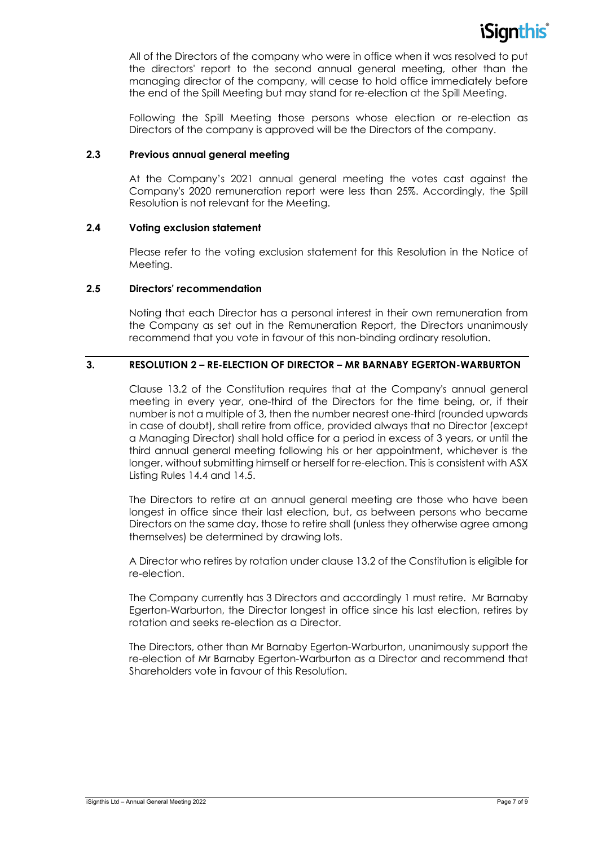

All of the Directors of the company who were in office when it was resolved to put the directors' report to the second annual general meeting, other than the managing director of the company, will cease to hold office immediately before the end of the Spill Meeting but may stand for re-election at the Spill Meeting.

Following the Spill Meeting those persons whose election or re-election as Directors of the company is approved will be the Directors of the company.

#### **2.3 Previous annual general meeting**

At the Company's 2021 annual general meeting the votes cast against the Company's 2020 remuneration report were less than 25%. Accordingly, the Spill Resolution is not relevant for the Meeting.

#### **2.4 Voting exclusion statement**

Please refer to the voting exclusion statement for this Resolution in the Notice of Meeting.

#### **2.5 Directors' recommendation**

Noting that each Director has a personal interest in their own remuneration from the Company as set out in the Remuneration Report, the Directors unanimously recommend that you vote in favour of this non-binding ordinary resolution.

#### **3. RESOLUTION 2 – RE-ELECTION OF DIRECTOR – MR BARNABY EGERTON-WARBURTON**

Clause 13.2 of the Constitution requires that at the Company's annual general meeting in every year, one-third of the Directors for the time being, or, if their number is not a multiple of 3, then the number nearest one-third (rounded upwards in case of doubt), shall retire from office, provided always that no Director (except a Managing Director) shall hold office for a period in excess of 3 years, or until the third annual general meeting following his or her appointment, whichever is the longer, without submitting himself or herself for re-election. This is consistent with ASX Listing Rules 14.4 and 14.5.

The Directors to retire at an annual general meeting are those who have been longest in office since their last election, but, as between persons who became Directors on the same day, those to retire shall (unless they otherwise agree among themselves) be determined by drawing lots.

A Director who retires by rotation under clause 13.2 of the Constitution is eligible for re-election.

The Company currently has 3 Directors and accordingly 1 must retire. Mr Barnaby Egerton-Warburton, the Director longest in office since his last election, retires by rotation and seeks re-election as a Director.

The Directors, other than Mr Barnaby Egerton-Warburton, unanimously support the re-election of Mr Barnaby Egerton-Warburton as a Director and recommend that Shareholders vote in favour of this Resolution.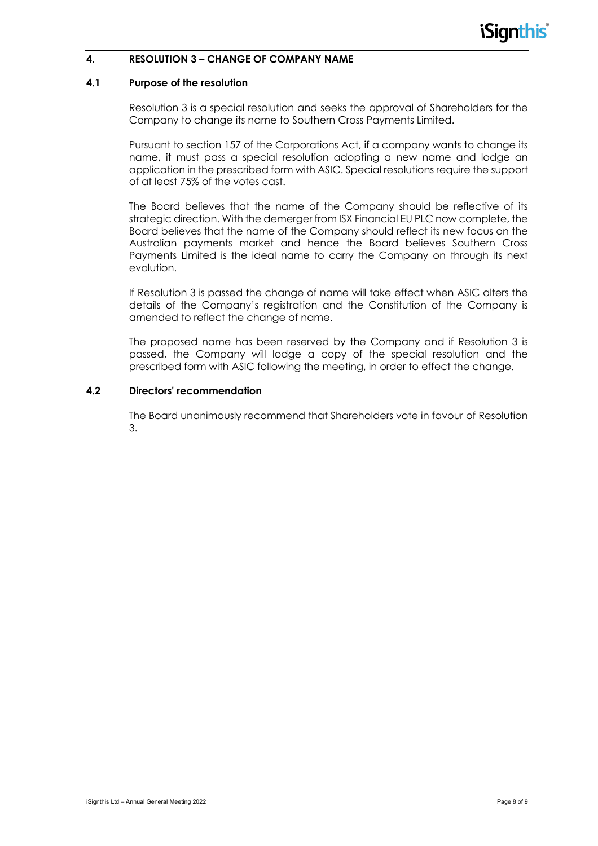#### **4. RESOLUTION 3 – CHANGE OF COMPANY NAME**

#### **4.1 Purpose of the resolution**

Resolution 3 is a special resolution and seeks the approval of Shareholders for the Company to change its name to Southern Cross Payments Limited.

Pursuant to section 157 of the Corporations Act, if a company wants to change its name, it must pass a special resolution adopting a new name and lodge an application in the prescribed form with ASIC. Special resolutions require the support of at least 75% of the votes cast.

The Board believes that the name of the Company should be reflective of its strategic direction. With the demerger from ISX Financial EU PLC now complete, the Board believes that the name of the Company should reflect its new focus on the Australian payments market and hence the Board believes Southern Cross Payments Limited is the ideal name to carry the Company on through its next evolution.

If Resolution 3 is passed the change of name will take effect when ASIC alters the details of the Company's registration and the Constitution of the Company is amended to reflect the change of name.

The proposed name has been reserved by the Company and if Resolution 3 is passed, the Company will lodge a copy of the special resolution and the prescribed form with ASIC following the meeting, in order to effect the change.

### **4.2 Directors' recommendation**

The Board unanimously recommend that Shareholders vote in favour of Resolution 3.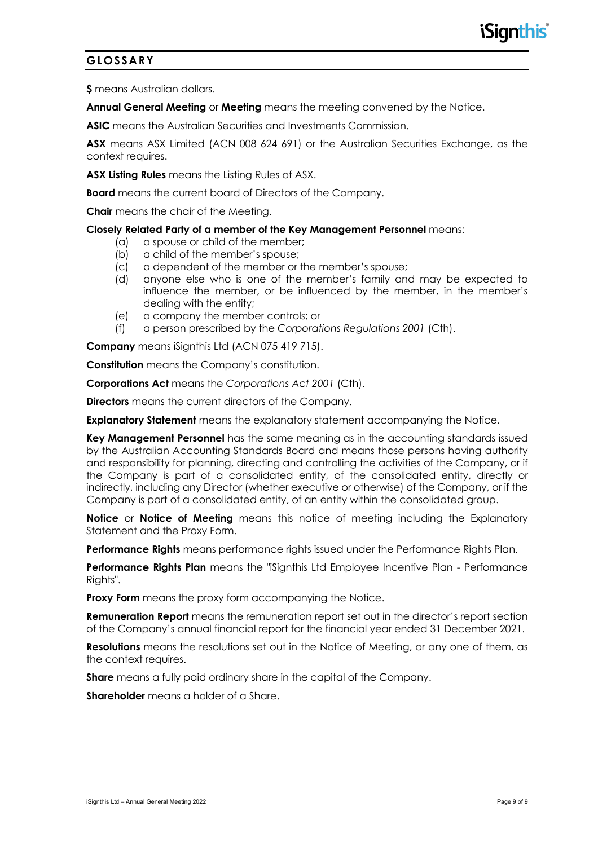## **GLOSSARY**

**\$** means Australian dollars.

**Annual General Meeting** or **Meeting** means the meeting convened by the Notice.

**ASIC** means the Australian Securities and Investments Commission.

**ASX** means ASX Limited (ACN 008 624 691) or the Australian Securities Exchange, as the context requires.

**ASX Listing Rules** means the Listing Rules of ASX.

**Board** means the current board of Directors of the Company.

**Chair** means the chair of the Meeting.

#### **Closely Related Party of a member of the Key Management Personnel** means:

- (a) a spouse or child of the member;
- (b) a child of the member's spouse;
- (c) a dependent of the member or the member's spouse;
- (d) anyone else who is one of the member's family and may be expected to influence the member, or be influenced by the member, in the member's dealing with the entity;
- (e) a company the member controls; or
- (f) a person prescribed by the *Corporations Regulations 2001* (Cth).

**Company** means iSignthis Ltd (ACN 075 419 715).

**Constitution** means the Company's constitution.

**Corporations Act** means the *Corporations Act 2001* (Cth).

**Directors** means the current directors of the Company.

**Explanatory Statement** means the explanatory statement accompanying the Notice.

**Key Management Personnel** has the same meaning as in the accounting standards issued by the Australian Accounting Standards Board and means those persons having authority and responsibility for planning, directing and controlling the activities of the Company, or if the Company is part of a consolidated entity, of the consolidated entity, directly or indirectly, including any Director (whether executive or otherwise) of the Company, or if the Company is part of a consolidated entity, of an entity within the consolidated group.

**Notice** or **Notice of Meeting** means this notice of meeting including the Explanatory Statement and the Proxy Form.

**Performance Rights** means performance rights issued under the Performance Rights Plan.

**Performance Rights Plan** means the "iSignthis Ltd Employee Incentive Plan - Performance Rights".

**Proxy Form** means the proxy form accompanying the Notice.

**Remuneration Report** means the remuneration report set out in the director's report section of the Company's annual financial report for the financial year ended 31 December 2021.

**Resolutions** means the resolutions set out in the Notice of Meeting, or any one of them, as the context requires.

**Share** means a fully paid ordinary share in the capital of the Company.

**Shareholder** means a holder of a Share.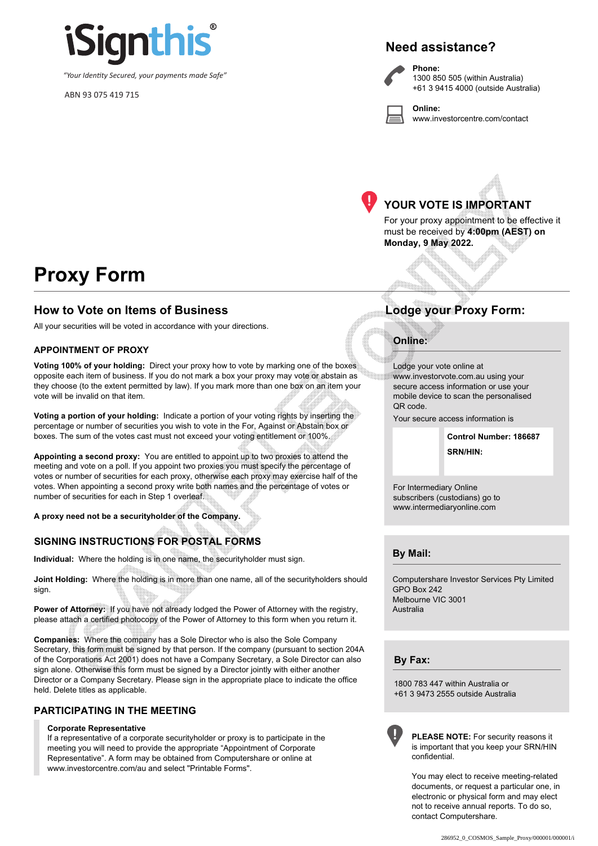

*"Your Identity Secured, your payments made Safe"*

ABN 93 075 419 715

# **Need assistance?**

**Phone:**

**Online:**



1300 850 505 (within Australia) +61 3 9415 4000 (outside Australia)

www.investorcentre.com/contact



# **YOUR VOTE IS IMPORTANT**

For your proxy appointment to be effective it must be received by **4:00pm (AEST) on Monday, 9 May 2022.**

# **Proxy Form**

### **How to Vote on Items of Business Lodge your Proxy Form:**

All your securities will be voted in accordance with your directions.

#### **APPOINTMENT OF PROXY**

**Voting 100% of your holding:** Direct your proxy how to vote by marking one of the boxes opposite each item of business. If you do not mark a box your proxy may vote or abstain as they choose (to the extent permitted by law). If you mark more than one box on an item your vote will be invalid on that item.

**Voting a portion of your holding:** Indicate a portion of your voting rights by inserting the percentage or number of securities you wish to vote in the For, Against or Abstain box or boxes. The sum of the votes cast must not exceed your voting entitlement or 100%.

**Appointing a second proxy:** You are entitled to appoint up to two proxies to attend the meeting and vote on a poll. If you appoint two proxies you must specify the percentage of votes or number of securities for each proxy, otherwise each proxy may exercise half of the votes. When appointing a second proxy write both names and the percentage of votes or number of securities for each in Step 1 overleaf.

**A proxy need not be a securityholder of the Company.**

#### **SIGNING INSTRUCTIONS FOR POSTAL FORMS**

**Individual:** Where the holding is in one name, the securityholder must sign.

**Joint Holding:** Where the holding is in more than one name, all of the securityholders should sign.

Power of Attorney: If you have not already lodged the Power of Attorney with the registry, please attach a certified photocopy of the Power of Attorney to this form when you return it.

**Companies:** Where the company has a Sole Director who is also the Sole Company Secretary, this form must be signed by that person. If the company (pursuant to section 204A of the Corporations Act 2001) does not have a Company Secretary, a Sole Director can also sign alone. Otherwise this form must be signed by a Director jointly with either another Director or a Company Secretary. Please sign in the appropriate place to indicate the office held. Delete titles as applicable.

#### **PARTICIPATING IN THE MEETING**

#### **Corporate Representative**

If a representative of a corporate securityholder or proxy is to participate in the meeting you will need to provide the appropriate "Appointment of Corporate Representative". A form may be obtained from Computershare or online at www.investorcentre.com/au and select "Printable Forms".

#### **Online:**

Lodge your vote online at www.investorvote.com.au using your secure access information or use your mobile device to scan the personalised QR code.

Your secure access information is

**SRN/HIN: Control Number: 186687**

For Intermediary Online subscribers (custodians) go to www.intermediaryonline.com

**By Mail:**

Computershare Investor Services Pty Limited GPO Box 242 Melbourne VIC 3001 Australia

**By Fax:**

1800 783 447 within Australia or +61 3 9473 2555 outside Australia



**PLEASE NOTE:** For security reasons it is important that you keep your SRN/HIN confidential.

You may elect to receive meeting-related documents, or request a particular one, in electronic or physical form and may elect not to receive annual reports. To do so, contact Computershare.